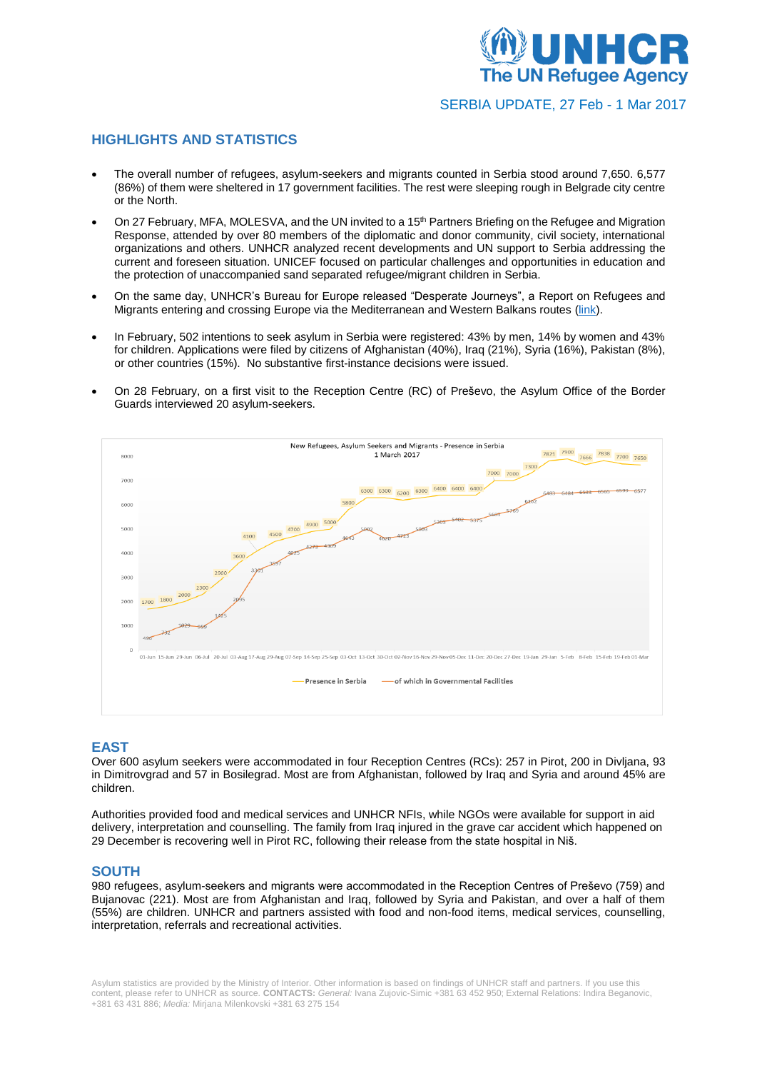

SERBIA UPDATE, 27 Feb - 1 Mar 2017

# **HIGHLIGHTS AND STATISTICS**

- The overall number of refugees, asylum-seekers and migrants counted in Serbia stood around 7,650. 6,577 (86%) of them were sheltered in 17 government facilities. The rest were sleeping rough in Belgrade city centre or the North.
- On 27 February, MFA, MOLESVA, and the UN invited to a 15<sup>th</sup> Partners Briefing on the Refugee and Migration Response, attended by over 80 members of the diplomatic and donor community, civil society, international organizations and others. UNHCR analyzed recent developments and UN support to Serbia addressing the current and foreseen situation. UNICEF focused on particular challenges and opportunities in education and the protection of unaccompanied sand separated refugee/migrant children in Serbia.
- On the same day, UNHCR's Bureau for Europe released "Desperate Journeys", a Report on Refugees and Migrants entering and crossing Europe via the Mediterranean and Western Balkans routes [\(link\)](http://www.unhcr.org/58b449f54).
- In February, 502 intentions to seek asylum in Serbia were registered: 43% by men, 14% by women and 43% for children. Applications were filed by citizens of Afghanistan (40%), Iraq (21%), Syria (16%), Pakistan (8%), or other countries (15%). No substantive first-instance decisions were issued.
- On 28 February, on a first visit to the Reception Centre (RC) of Preševo, the Asylum Office of the Border Guards interviewed 20 asylum-seekers.



## **EAST**

Over 600 asylum seekers were accommodated in four Reception Centres (RCs): 257 in Pirot, 200 in Divljana, 93 in Dimitrovgrad and 57 in Bosilegrad. Most are from Afghanistan, followed by Iraq and Syria and around 45% are children.

Authorities provided food and medical services and UNHCR NFIs, while NGOs were available for support in aid delivery, interpretation and counselling. The family from Iraq injured in the grave car accident which happened on 29 December is recovering well in Pirot RC, following their release from the state hospital in Niš.

## **SOUTH**

980 refugees, asylum-seekers and migrants were accommodated in the Reception Centres of Preševo (759) and Bujanovac (221). Most are from Afghanistan and Iraq, followed by Syria and Pakistan, and over a half of them (55%) are children. UNHCR and partners assisted with food and non-food items, medical services, counselling, interpretation, referrals and recreational activities.

Asylum statistics are provided by the Ministry of Interior. Other information is based on findings of UNHCR staff and partners. If you use this content, please refer to UNHCR as source. **CONTACTS:** *General:* Ivana Zujovic-Simic +381 63 452 950; External Relations: Indira Beganovic, +381 63 431 886; *Media:* Mirjana Milenkovski +381 63 275 154